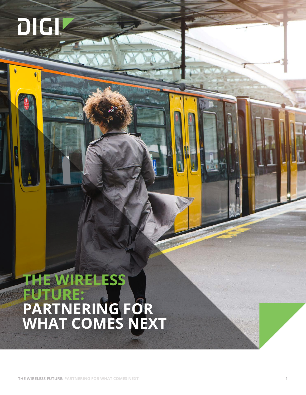# **THE WIRELESS FUTURE: PARTNERING FOR WHAT COMES NEXT**

**DIGI**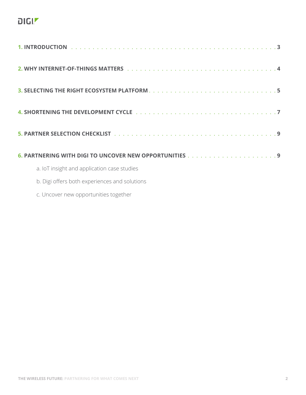# $DIGI^{\blacktriangledown}$

| a. IoT insight and application case studies   |  |
|-----------------------------------------------|--|
| b. Digi offers both experiences and solutions |  |
| c. Uncover new opportunities together         |  |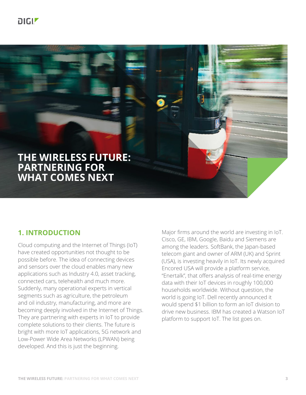

# **THE WIRELESS FUTURE: PARTNERING FOR WHAT COMES NEXT**

# **1. INTRODUCTION**

Cloud computing and the Internet of Things (IoT) have created opportunities not thought to be possible before. The idea of connecting devices and sensors over the cloud enables many new applications such as Industry 4.0, asset tracking, connected cars, telehealth and much more. Suddenly, many operational experts in vertical segments such as agriculture, the petroleum and oil industry, manufacturing, and more are becoming deeply involved in the Internet of Things. They are partnering with experts in IoT to provide complete solutions to their clients. The future is bright with more IoT applications, 5G network and Low-Power Wide Area Networks (LPWAN) being developed. And this is just the beginning.

Major firms around the world are investing in IoT. Cisco, GE, IBM, Google, Baidu and Siemens are among the leaders. SoftBank, the Japan-based telecom giant and owner of ARM (UK) and Sprint (USA), is investing heavily in IoT. Its newly acquired Encored USA will provide a platform service, "Enertalk", that offers analysis of real-time energy data with their IoT devices in roughly 100,000 households worldwide. Without question, the world is going IoT. Dell recently announced it would spend \$1 billion to form an IoT division to drive new business. IBM has created a Watson IoT platform to support IoT. The list goes on.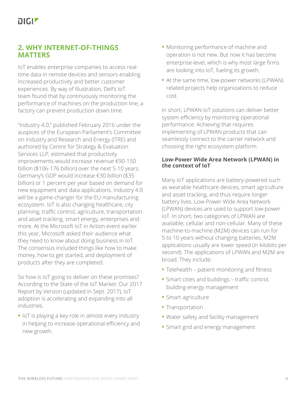# **2. WHY INTERNET-OF-THINGS MATTERS**

IoT enables enterprise companies to access realtime data in remote devices and sensors enabling increased productivity and better customer experiences. By way of illustration, Dell's IoT team found that by continuously monitoring the performance of machines on the production line, a factory can prevent production down time.

"Industry 4.0," published February 2016 under the auspices of the European Parliament's Committee on Industry and Research and Energy (ITRE) and authored by Centre for Strategy & Evaluation Services LLP, estimated that productivity improvements would increase revenue €90-150 billion (\$106-176 billion) over the next 5-10 years. Germany's GDP would increase €30 billion (\$35 billion) or 1 percent per year based on demand for new equipment and data applications. Industry 4.0 will be a game-changer for the EU manufacturing ecosystem. IoT is also changing healthcare, city planning, traffic control, agriculture, transportation and asset tracking, smart energy, enterprises and more. At the Microsoft IoT in Action event earlier this year, Microsoft asked their audience what they need to know about doing business in IoT. The consensus included things like how to make money, how to get started, and deployment of products after they are completed.

So how is IoT going to deliver on these promises? According to the State of the IoT Market: Our 2017 Report by Verizon (updated in Sept. 2017), IoT adoption is accelerating and expanding into all industries.

**•** IoT is playing a key role in almost every industry in helping to increase operational efficiency and new growth.

- **•** Monitoring performance of machine and operation is not new. But now it has become enterprise-level, which is why most large firms are looking into IoT, fueling its growth.
- **•** At the same time, low-power networks (LPWAN) related projects help organizations to reduce cost.

In short, LPWAN IoT solutions can deliver better system efficiency by monitoring operational performance. Achieving that requires implementing of LPWAN products that can seamlessly connect to the carrier network and choosing the right ecosystem platform.

## **Low-Power Wide Area Network (LPWAN) in the context of IoT**

Many IoT applications are battery-powered such as wearable healthcare devices, smart agriculture and asset tracking, and thus require longer battery lives. Low-Power Wide Area Network (LPWAN) devices are used to support low-power IoT. In short, two categories of LPWAN are available; cellular and non-cellular. Many of these machine-to-machine (M2M) devices can run for 5 to 10 years without changing batteries. M2M applications usually are lower speed (in kilobits per second). The applications of LPWAN and M2M are broad. They include:

- **•** Telehealth patient monitoring and fitness
- **•** Smart cities and buildings traffic control, building energy management
- **•** Smart agriculture
- **•** Transportation
- **•** Water safety and facility management
- **•** Smart grid and energy management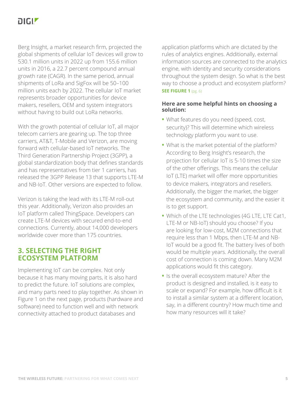Berg Insight, a market research firm, projected the global shipments of cellular IoT devices will grow to 530.1 million units in 2022 up from 155.6 million units in 2016, a 22.7 percent compound annual growth rate (CAGR). In the same period, annual shipments of LoRa and SigFox will be 50–100 million units each by 2022. The cellular IoT market represents broader opportunities for device makers, resellers, OEM and system integrators without having to build out LoRa networks.

With the growth potential of cellular IoT, all major telecom carriers are gearing up. The top three carriers, AT&T, T-Mobile and Verizon, are moving forward with cellular-based IoT networks. The Third Generation Partnership Project (3GPP), a global standardization body that defines standards and has representatives from tier 1 carriers, has released the 3GPP Release 13 that supports LTE-M and NB-IoT. Other versions are expected to follow.

Verizon is taking the lead with its LTE-M roll-out this year. Additionally, Verizon also provides an IoT platform called ThingSpace. Developers can create LTE-M devices with secured end-to-end connections. Currently, about 14,000 developers worldwide cover more than 175 countries.

## **3. SELECTING THE RIGHT ECOSYSTEM PLATFORM**

Implementing IoT can be complex. Not only because it has many moving parts, it is also hard to predict the future. IoT solutions are complex, and many parts need to play together. As shown in Figure 1 on the next page, products (hardware and software) need to function well and with network connectivity attached to product databases and

application platforms which are dictated by the rules of analytics engines. Additionally, external information sources are connected to the analytics engine, with identity and security considerations throughout the system design. So what is the best way to choose a product and ecosystem platform? **SEE FIGURE 1** (pg. 6)

## **Here are some helpful hints on choosing a solution:**

- **•** What features do you need (speed, cost, security)? This will determine which wireless technology platform you want to use.
- **•** What is the market potential of the platform? According to Berg Insight's research, the projection for cellular IoT is 5-10 times the size of the other offerings. This means the cellular IoT (LTE) market will offer more opportunities to device makers, integrators and resellers. Additionally, the bigger the market, the bigger the ecosystem and community, and the easier it is to get support.
- **•** Which of the LTE technologies (4G LTE, LTE Cat1, LTE-M or NB-IoT) should you choose? If you are looking for low-cost, M2M connections that require less than 1 Mbps, then LTE-M and NB-IoT would be a good fit. The battery lives of both would be multiple years. Additionally, the overall cost of connection is coming down. Many M2M applications would fit this category.
- **•** Is the overall ecosystem mature? After the product is designed and installed, is it easy to scale or expand? For example, how difficult is it to install a similar system at a different location, say, in a different country? How much time and how many resources will it take?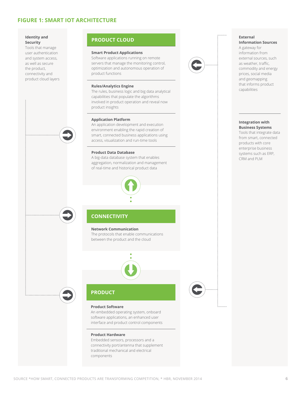### **FIGURE 1: SMART IOT ARCHITECTURE**

### **Identity and Security**

Tools that manage user authentication and system access, as well as secure the product, connectivity and product cloud layers



## **PRODUCT CLOUD**

#### **Smart Product Applications**

Software applications running on remote servers that manage the monitoring control, optimization and autonomous operation of product functions

#### **Rules/Analytics Engine**

The rules, business logic and big data analytical capabilities that populate the algorithms involved in product operation and reveal now product insights

#### **Application Platform**

An application development and execution environment enabling the rapid creation of smart, connected business applications using access, visualization and run-time tools

#### **Product Data Database**

A big-data database system that enables aggregation, normalization and management of real-time and historical product data



## **CONNECTIVITY**

#### **Network Communication**

The protocols that enable communications between the product and the cloud



#### **Product Software**

**PRODUCT**

An embedded operating system, onboard software applications, an enhanced user interface and product control components

#### **Product Hardware**

Embedded sensors, processors and a connectivity port/antenna that supplement traditional mechanical and electrical components



. . . . . . . .

#### **External Information Sources**

A gateway for information from external sources, such as weather, traffic, commodity and energy prices, social media and geomapping that informs product capabilities

#### **Integration with Business Systems**

Tools that integrate data from smart, connected products with core enterprise business systems such as ERP, CRM and PLM

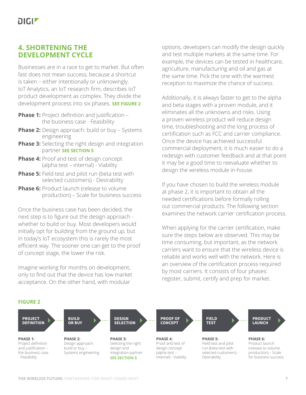# **4. SHORTENING THE DEVELOPMENT CYCLE**

Businesses are in a race to get to market. But often fast does not mean success, because a shortcut is taken – either intentionally or unknowingly. IoT Analytics, an IoT research firm, describes IoT product development as complex. They divide the development process into six phases. **SEE FIGURE 2**

- **Phase 1:** Project definition and justification the business case - Feasibility
- **Phase 2:** Design approach: build or buy Systems engineering
- **Phase 3:** Selecting the right design and integration partner **SEE SECTION 5**
- **Phase 4:** Proof and test of design concept (alpha test – internal) - Viability
- **Phase 5:** Field test and pilot run (beta test with selected customers) - Desirability
- **Phase 6:** Product launch (release to volume production) – Scale for business success

Once the business case has been decided, the next step is to figure out the design approach whether to build or buy. Most developers would initially opt for building from the ground up, but in today's IoT ecosystem this is rarely the most efficient way. The sooner one can get to the proof of concept stage, the lower the risk.

Imagine working for months on development, only to find out that the device has low market acceptance. On the other hand, with modular

options, developers can modify the design quickly and test multiple markets at the same time. For example, the devices can be tested in healthcare, agriculture, manufacturing and oil and gas at the same time. Pick the one with the warmest reception to maximize the chance of success.

Additionally, it is always faster to get to the alpha and beta stages with a proven module, and it eliminates all the unknowns and risks. Using a proven wireless product will reduce design time, troubleshooting and the long process of certification such as FCC and carrier compliance. Once the device has achieved successful commercial deployment, it is much easier to do a redesign with customer feedback and at that point it may be a good time to reevaluate whether to design the wireless module in-house.

If you have chosen to build the wireless module at phase 2, it is important to obtain all the needed certifications before formally rolling out commercial products. The following section examines the network carrier certification process.

When applying for the carrier certification, make sure the steps below are observed. This may be time consuming, but important, as the network carriers want to ensure that the wireless device is reliable and works well with the network. Here is an overview of the certification process required by most carriers. It consists of four phases: register, submit, certify and prep for market.

### **FIGURE 2**

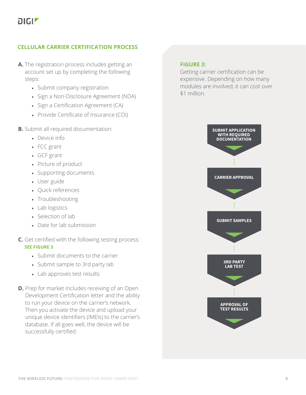## **CELLULAR CARRIER CERTIFICATION PROCESS**

- **A.** The registration process includes getting an account set up by completing the following steps:
	- Submit company registration
	- Sign a Non-Disclosure Agreement (NDA)
	- Sign a Certification Agreement (CA)
	- Provide Certificate of Insurance (COI)
- **B.** Submit all required documentation:
	- Device info
	- FCC grant
	- GCF grant
	- Picture of product
	- Supporting documents
	- User guide
	- Quick references
	- Troubleshooting
	- Lab logistics
	- Selection of lab
	- Date for lab submission

## **C.** Get certified with the following testing process: **SEE FIGURE 3**

- Submit documents to the carrier
- Submit sample to 3rd party lab
- Lab approves test results
- **D.** Prep for market includes receiving of an Open Development Certification letter and the ability to run your device on the carrier's network. Then you activate the device and upload your unique device identifiers (IMEIs) to the carrier's database. If all goes well, the device will be successfully certified.

### **FIGURE 3:**

Getting carrier certification can be expensive. Depending on how many modules are involved, it can cost over \$1 million.

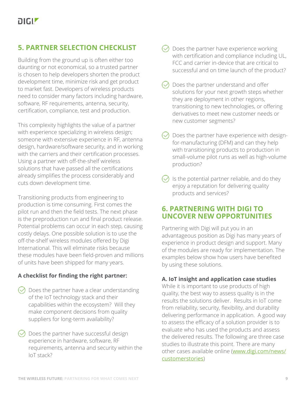# **5. PARTNER SELECTION CHECKLIST**

Building from the ground up is often either too daunting or not economical, so a trusted partner is chosen to help developers shorten the product development time, minimize risk and get product to market fast. Developers of wireless products need to consider many factors including hardware, software, RF requirements, antenna, security, certification, compliance, test and production.

This complexity highlights the value of a partner with experience specializing in wireless design; someone with extensive experience in RF, antenna design, hardware/software security, and in working with the carriers and their certification processes. Using a partner with off-the-shelf wireless solutions that have passed all the certifications already simplifies the process considerably and cuts down development time.

Transitioning products from engineering to production is time consuming. First comes the pilot run and then the field tests. The next phase is the preproduction run and final product release. Potential problems can occur in each step, causing costly delays. One possible solution is to use the off-the-shelf wireless modules offered by Digi International. This will eliminate risks because these modules have been field-proven and millions of units have been shipped for many years.

## **A checklist for finding the right partner:**

- $\vee$  Does the partner have a clear understanding of the IoT technology stack and their capabilities within the ecosystem? Will they make component decisions from quality suppliers for long-term availability?
- $\Diamond$  Does the partner have successful design experience in hardware, software, RF requirements, antenna and security within the IoT stack?
- Does the partner have experience working with certification and compliance including UL, FCC and carrier in-device that are critical to successful and on time launch of the product?
- $\Diamond$  Does the partner understand and offer solutions for your next growth steps whether they are deployment in other regions, transitioning to new technologies, or offering derivatives to meet new customer needs or new customer segments?
- Does the partner have experience with designfor-manufacturing (DFM) and can they help with transitioning products to production in small-volume pilot runs as well as high-volume production?
- Is the potential partner reliable, and do they enjoy a reputation for delivering quality products and services?

# **6. PARTNERING WITH DIGI TO UNCOVER NEW OPPORTUNITIES**

Partnering with Digi will put you in an advantageous position as Digi has many years of experience in product design and support. Many of the modules are ready for implementation. The examples below show how users have benefited by using these solutions.

## **A. IoT insight and application case studies**

While it is important to use products of high quality, the best way to assess quality is in the results the solutions deliver. Results in IoT come from reliability, security, flexibility, and durability delivering performance in application. A good way to assess the efficacy of a solution provider is to evaluate who has used the products and assess the delivered results. The following are three case studies to illustrate this point. There are many other cases available online (www.digi.com/news/ customerstories)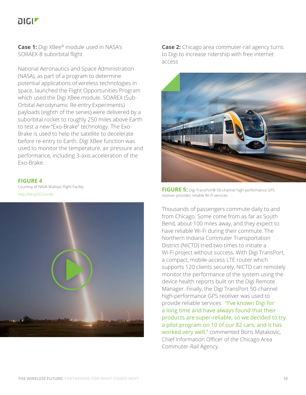**Case 1:** Digi XBee® module used in NASA's SORAEX-8 suborbital flight

National Aeronautics and Space Administration (NASA), as part of a program to determine potential applications of wireless technologies in space, launched the Flight Opportunities Program which used the Digi XBee module. SOAREX (Sub-Orbital Aerodynamic Re-entry Experiments) payloads (eighth of the series) were delivered by a suborbital rocket to roughly 250 miles above Earth to test a new "Exo-Brake" technology. The Exo-Brake is used to help the satellite to decelerate before re-entry to Earth. Digi XBee function was used to monitor the temperature, air pressure and performance, including 3-axis acceleration of the Exo-Brake.

### **FIGURE 4**

Courtesy of NASA Wallops Flight Facility <http://bit.ly/2CUUcAb>



**Case 2:** Chicago area commuter-rail agency turns to Digi to increase ridership with free internet access



**FIGURE 5:** Digi TransPort® 50-channel high-performance GPS receiver provides reliable Wi-Fi services

Thousands of passengers commute daily to and from Chicago. Some come from as far as South Bend, about 100 miles away, and they expect to have reliable Wi-Fi during their commute. The Northern Indiana Commuter Transportation District (NICTD) tried two times to initiate a Wi-Fi project without success. With Digi TransPort, a compact, mobile-access LTE router which supports 120 clients securely, NICTD can remotely monitor the performance of the system using the device health reports built on the Digi Remote Manager. Finally, the Digi TransPort 50-channel high-performance GPS receiver was used to provide reliable services. "I've known Digi for a long time and have always found that their products are super-reliable, so we decided to try a pilot program on 10 of our 82 cars, and it has worked very well," commented Boris Matakovic, Chief Information Officer of the Chicago Area Commuter-Rail Agency.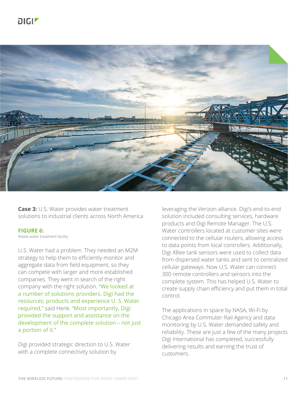

**Case 3:** U.S. Water provides water treatment solutions to industrial clients across North America

### **FIGURE 6:**

Waste water treatment facility

U.S. Water had a problem. They needed an M2M strategy to help them to efficiently monitor and aggregate data from field equipment, so they can compete with larger and more established companies. They went in search of the right company with the right solution. "We looked at a number of solutions providers. Digi had the resources, products and experience U. S. Water required," said Henk. "Most importantly, Digi provided the support and assistance on the development of the complete solution – not just a portion of it."

Digi provided strategic direction to U.S. Water with a complete connectivity solution by

leveraging the Verizon alliance. Digi's end-to-end solution included consulting services, hardware products and Digi Remote Manager. The U.S. Water controllers located at customer sites were connected to the cellular routers, allowing access to data points from local controllers. Additionally, Digi XBee tank sensors were used to collect data from dispersed water tanks and sent to centralized cellular gateways. Now U.S. Water can connect 300 remote controllers and sensors into the complete system. This has helped U.S. Water to create supply chain efficiency and put them in total control.

The applications in space by NASA, Wi-Fi by Chicago Area Commuter-Rail Agency and data monitoring by U.S. Water demanded safety and reliability. These are just a few of the many projects Digi International has completed, successfully delivering results and earning the trust of customers.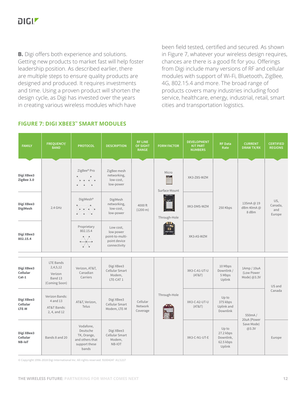**B.** Digi offers both experience and solutions. Getting new products to market fast will help foster leadership position. As described earlier, there are multiple steps to ensure quality products are designed and produced. It requires investments and time. Using a proven product will shorten the design cycle, as Digi has invested over the years in creating various wireless modules which have

been field tested, certified and secured. As shown in Figure 7, whatever your wireless design requires, chances are there is a good fit for you. Offerings from Digi include many versions of RF and cellular modules with support of Wi-Fi, Bluetooth, ZigBee, 4G, 802.15.4 and more. The broad range of products covers many industries including food service, healthcare, energy, industrial, retail, smart cities and transportation logistics.

| <b>FAMILY</b>                     | <b>FREQUENCY/</b><br><b>BAND</b>                                    | <b>PROTOCOL</b>                                                                   | <b>DESCRIPTION</b>                                                        | <b>RF LINE</b><br><b>OF SIGHT</b><br><b>RANGE</b> | <b>FORM FACTOR</b> | <b>DEVELOPMENT</b><br><b>KIT PART</b><br><b>NUMBERS</b> | <b>RF Data</b><br>Rate                                 | <b>CURRENT</b><br><b>DRAW TX/RX</b>      | <b>CERTIFIED</b><br><b>REGIONS</b> |  |
|-----------------------------------|---------------------------------------------------------------------|-----------------------------------------------------------------------------------|---------------------------------------------------------------------------|---------------------------------------------------|--------------------|---------------------------------------------------------|--------------------------------------------------------|------------------------------------------|------------------------------------|--|
| Digi XBee3<br>ZigBee 3.0          | $2.4$ GHz                                                           | ZigBee® Pro                                                                       | ZigBee mesh<br>networking,<br>low-cost,<br>low-power                      | 4000 ft<br>$(1200 \text{ m})$                     |                    | Micro<br><b>SLUM</b><br>Surface Mount                   | XK3-Z8S-WZM                                            |                                          |                                    |  |
| Digi XBee3<br><b>DigiMesh</b>     |                                                                     | DigiMesh <sup>®</sup>                                                             | DigiMesh<br>networking,<br>low-cost,<br>low-power                         |                                                   | Through-Hole       | XK3-DMS-WZM                                             | 250 Kbps                                               | 135mA@19<br>dBm 40mA@<br>8 dBm           | US,<br>Canada,<br>and<br>Europe    |  |
| Digi XBee3<br>802.15.4            |                                                                     | Proprietary<br>802.15.4<br>$\overline{\bigoplus}$                                 | Low cost,<br>low power<br>point-to-multi-<br>point device<br>connectivity |                                                   |                    | XK3-AS-WZM                                              |                                                        |                                          |                                    |  |
| Digi XBee3<br>Cellular<br>$Cat-1$ | <b>LTE Bands</b><br>2,4,5,12<br>Verizon<br>Band 13<br>(Coming Soon) | Verizon, AT&T,<br>Canadian<br>Carriers                                            | Digi XBee3<br>Cellular Smart<br>Modem,<br>LTE-CAT 1                       |                                                   |                    | XK3-C-A1-UT-U<br>(AT&T)                                 | 10 Mbps<br>Downlink /<br>5 Mbps<br>Uplink              | 1Amp / 10uA<br>(Low Power<br>Mode) @3.3V | US and                             |  |
| Digi XBee3<br>Cellular<br>LTE-M   | Verizon Bands:<br>4 and 13<br>AT&T Bands:<br>2, 4, and 12           | AT&T, Verizon,<br>Telus                                                           | Digi XBee3<br>Cellular Smart<br>Modem, LTE-M                              | Cellular<br>Network<br>Coverage                   | Through-Hole       | XK3-C-A2-UT-U<br>(AT&T)                                 | Up to<br>375 kbps<br>Uplink and<br>Downlink            | 550mA/                                   | Canada                             |  |
| Digi XBee3<br>Cellular<br>NB-IoT  | Bands 8 and 20                                                      | Vodafone,<br>Deutsche<br>TK, Orange,<br>and others that<br>support these<br>bands | Digi XBee3<br>Cellular Smart<br>Modem,<br>NB-IOT                          |                                                   |                    | XK3-C-N1-UT-E                                           | Up to<br>27.2 kbps<br>Downlink,<br>62.5 kbps<br>Uplink | 20uA (Power<br>Save Mode)<br>@3.3V       | Europe                             |  |

## **FIGURE 7: DIGI XBEE3™ SMART MODULES**

© Copyright 1996-2018 Digi International Inc. All rights reserved. 91004247 A1/1217